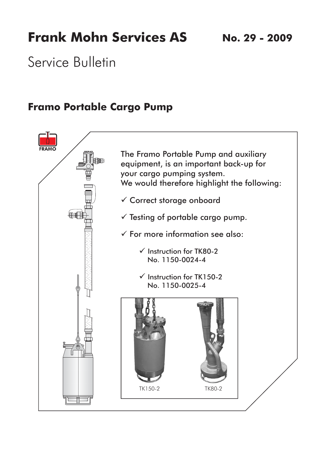# **Frank Mohn Services AS**

**No. 29 - 2009**

Service Bulletin

### **Framo Portable Cargo Pump**

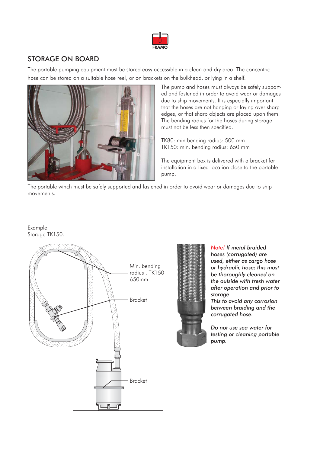

### STORAGE ON BOARD

The portable pumping equipment must be stored easy accessible in a clean and dry area. The concentric hose can be stored on a suitable hose reel, or on brackets on the bulkhead, or lying in a shelf.



The pump and hoses must always be safely supported and fastened in order to avoid wear or damages due to ship movements. It is especially important that the hoses are not hanging or laying over sharp edges, or that sharp objects are placed upon them. The bending radius for the hoses during storage must not be less then specified.

TK80: min bending radius: 500 mm TK150: min. bending radius: 650 mm

The equipment box is delivered with a bracket for installation in a fixed location close to the portable pump.

The portable winch must be safely supported and fastened in order to avoid wear or damages due to ship movements.

Example: Storage TK150.





*Note! If metal braided hoses (corrugated) are used, either as cargo hose or hydraulic hose; this must be thoroughly cleaned on the outside with fresh water after operation and prior to storage.*

*This to avoid any corrosion between braiding and the corrugated hose.*

*Do not use sea water for testing or cleaning portable pump.*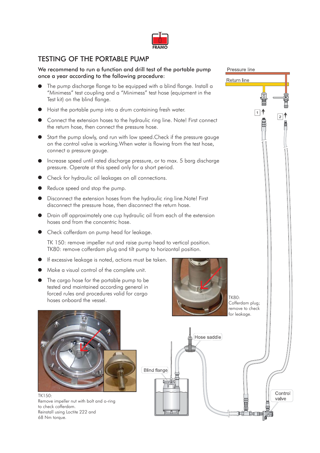

### TESTING OF THE PORTABLE PUMP

#### We recommend to run a function and drill test of the portable pump once a year according to the following procedure:

- The pump discharge flange to be equipped with a blind flange. Install a "Minimess" test coupling and a "Minimess" test hose (equipment in the Test kit) on the blind flange.
- Hoist the portable pump into a drum containing fresh water.
- Connect the extension hoses to the hydraulic ring line. Note! First connect the return hose, then connect the pressure hose.
- Start the pump slowly, and run with low speed.Check if the pressure gauge on the control valve is working.When water is flowing from the test hose, connect a pressure gauge.
- Increase speed until rated discharge pressure, or to max. 5 barg discharge pressure. Operate at this speed only for a short period.
- Check for hydraulic oil leakages on all connections.
- Reduce speed and stop the pump.
- Disconnect the extension hoses from the hydraulic ring line.Note! First disconnect the pressure hose, then disconnect the return hose.
- Drain off approximately one cup hydraulic oil from each of the extension hoses and from the concentric hose.
- Check cofferdam on pump head for leakage.

TK 150: remove impeller nut and raise pump head to vertical position. TK80: remove cofferdam plug and tilt pump to horizontal position.

- If excessive leakage is noted, actions must be taken.
- Make a visual control of the complete unit.
- The cargo hose for the portable pump to be tested and maintained according general in forced rules and procedures valid for cargo hoses onboard the vessel.



TK80: Cofferdam plug; remove to check for leakage.

Pressure line

 $\Box$   $\uparrow$ 

自由

 $\boxed{2}$ 

**Return line** 



TK150: Remove impeller nut with bolt and o-ring to check cofferdam. Reinstall using Loctite 222 and 68 Nm torque.